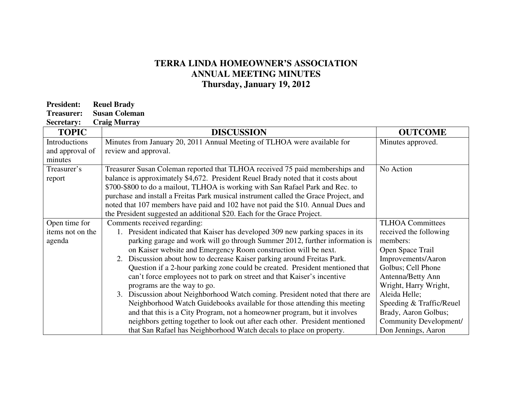## **TERRA LINDA HOMEOWNER'S ASSOCIATION ANNUAL MEETING MINUTES Thursday, January 19, 2012**

| <b>President:</b> | <b>Reuel Brady</b>   |
|-------------------|----------------------|
| Treasurer:        | <b>Susan Coleman</b> |

**Secretary: Craig Murray** 

| <b>TOPIC</b>     | <b>DISCUSSION</b>                                                                    | <b>OUTCOME</b>           |
|------------------|--------------------------------------------------------------------------------------|--------------------------|
| Introductions    | Minutes from January 20, 2011 Annual Meeting of TLHOA were available for             | Minutes approved.        |
| and approval of  | review and approval.                                                                 |                          |
| minutes          |                                                                                      |                          |
| Treasurer's      | Treasurer Susan Coleman reported that TLHOA received 75 paid memberships and         | No Action                |
| report           | balance is approximately \$4,672. President Reuel Brady noted that it costs about    |                          |
|                  | \$700-\$800 to do a mailout, TLHOA is working with San Rafael Park and Rec. to       |                          |
|                  | purchase and install a Freitas Park musical instrument called the Grace Project, and |                          |
|                  | noted that 107 members have paid and 102 have not paid the \$10. Annual Dues and     |                          |
|                  | the President suggested an additional \$20. Each for the Grace Project.              |                          |
| Open time for    | Comments received regarding:                                                         | <b>TLHOA Committees</b>  |
| items not on the | 1. President indicated that Kaiser has developed 309 new parking spaces in its       | received the following   |
| agenda           | parking garage and work will go through Summer 2012, further information is          | members:                 |
|                  | on Kaiser website and Emergency Room construction will be next.                      | Open Space Trail         |
|                  | 2. Discussion about how to decrease Kaiser parking around Freitas Park.              | Improvements/Aaron       |
|                  | Question if a 2-hour parking zone could be created. President mentioned that         | Golbus; Cell Phone       |
|                  | can't force employees not to park on street and that Kaiser's incentive              | Antenna/Betty Ann        |
|                  | programs are the way to go.                                                          | Wright, Harry Wright,    |
|                  | 3. Discussion about Neighborhood Watch coming. President noted that there are        | Aleida Helle;            |
|                  | Neighborhood Watch Guidebooks available for those attending this meeting             | Speeding & Traffic/Reuel |
|                  | and that this is a City Program, not a homeowner program, but it involves            | Brady, Aaron Golbus;     |
|                  | neighbors getting together to look out after each other. President mentioned         | Community Development/   |
|                  | that San Rafael has Neighborhood Watch decals to place on property.                  | Don Jennings, Aaron      |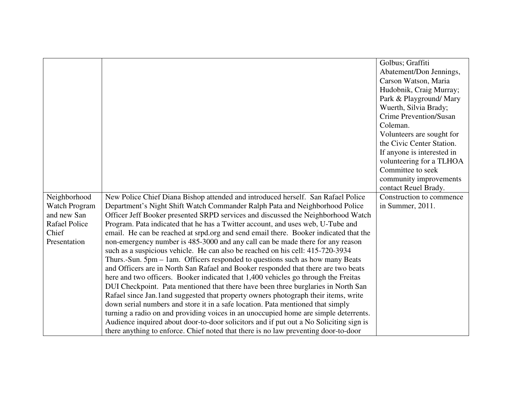|                      |                                                                                        | Golbus; Graffiti           |
|----------------------|----------------------------------------------------------------------------------------|----------------------------|
|                      |                                                                                        | Abatement/Don Jennings,    |
|                      |                                                                                        | Carson Watson, Maria       |
|                      |                                                                                        | Hudobnik, Craig Murray;    |
|                      |                                                                                        | Park & Playground/ Mary    |
|                      |                                                                                        | Wuerth, Silvia Brady;      |
|                      |                                                                                        | Crime Prevention/Susan     |
|                      |                                                                                        | Coleman.                   |
|                      |                                                                                        | Volunteers are sought for  |
|                      |                                                                                        | the Civic Center Station.  |
|                      |                                                                                        | If anyone is interested in |
|                      |                                                                                        | volunteering for a TLHOA   |
|                      |                                                                                        | Committee to seek          |
|                      |                                                                                        | community improvements     |
|                      |                                                                                        | contact Reuel Brady.       |
| Neighborhood         | New Police Chief Diana Bishop attended and introduced herself. San Rafael Police       | Construction to commence   |
| Watch Program        | Department's Night Shift Watch Commander Ralph Pata and Neighborhood Police            | in Summer, 2011.           |
| and new San          | Officer Jeff Booker presented SRPD services and discussed the Neighborhood Watch       |                            |
| <b>Rafael Police</b> | Program. Pata indicated that he has a Twitter account, and uses web, U-Tube and        |                            |
| Chief                | email. He can be reached at srpd.org and send email there. Booker indicated that the   |                            |
| Presentation         | non-emergency number is 485-3000 and any call can be made there for any reason         |                            |
|                      | such as a suspicious vehicle. He can also be reached on his cell: 415-720-3934         |                            |
|                      | Thurs.-Sun. 5pm – 1am. Officers responded to questions such as how many Beats          |                            |
|                      | and Officers are in North San Rafael and Booker responded that there are two beats     |                            |
|                      | here and two officers. Booker indicated that 1,400 vehicles go through the Freitas     |                            |
|                      | DUI Checkpoint. Pata mentioned that there have been three burglaries in North San      |                            |
|                      | Rafael since Jan.1and suggested that property owners photograph their items, write     |                            |
|                      | down serial numbers and store it in a safe location. Pata mentioned that simply        |                            |
|                      | turning a radio on and providing voices in an unoccupied home are simple deterrents.   |                            |
|                      | Audience inquired about door-to-door solicitors and if put out a No Soliciting sign is |                            |
|                      | there anything to enforce. Chief noted that there is no law preventing door-to-door    |                            |